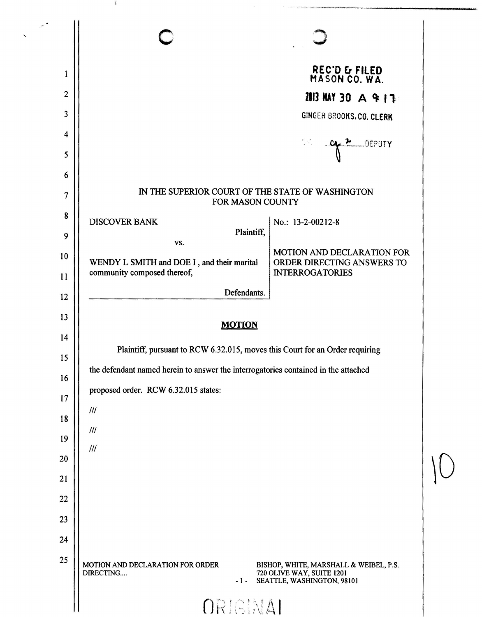| 1              |                                                                                    | REC'D & FILED<br>MASON CO. WA.                                                                    |  |
|----------------|------------------------------------------------------------------------------------|---------------------------------------------------------------------------------------------------|--|
| $\overline{c}$ |                                                                                    |                                                                                                   |  |
| 3              |                                                                                    | 2013 NAY 30 A 9 17                                                                                |  |
| 4              |                                                                                    | GINGER BROOKS.CO. CLERK                                                                           |  |
| 5              |                                                                                    | $\frac{1}{\sqrt{2}}\left\langle \mathcal{H}_{\mu}\right\rangle _{1}$<br>$C_{\text{R}}^2$ DEPUTY   |  |
| 6              |                                                                                    |                                                                                                   |  |
| 7              | IN THE SUPERIOR COURT OF THE STATE OF WASHINGTON<br>FOR MASON COUNTY               |                                                                                                   |  |
| 8              | <b>DISCOVER BANK</b>                                                               | No.: 13-2-00212-8                                                                                 |  |
| 9              | Plaintiff,<br>VS.                                                                  |                                                                                                   |  |
| 10             | WENDY L SMITH and DOE I, and their marital                                         | MOTION AND DECLARATION FOR<br>ORDER DIRECTING ANSWERS TO                                          |  |
| 11             | community composed thereof,                                                        | <b>INTERROGATORIES</b>                                                                            |  |
| 12             | Defendants.                                                                        |                                                                                                   |  |
| 13             |                                                                                    |                                                                                                   |  |
| 14             | <b>MOTION</b>                                                                      |                                                                                                   |  |
|                |                                                                                    |                                                                                                   |  |
| 15             | Plaintiff, pursuant to RCW 6.32.015, moves this Court for an Order requiring       |                                                                                                   |  |
|                | the defendant named herein to answer the interrogatories contained in the attached |                                                                                                   |  |
| 16             | proposed order. RCW 6.32.015 states:                                               |                                                                                                   |  |
| 17             | III                                                                                |                                                                                                   |  |
| 18             | $\frac{1}{2}$                                                                      |                                                                                                   |  |
| 19             | III                                                                                |                                                                                                   |  |
| 20             |                                                                                    |                                                                                                   |  |
| 21             |                                                                                    |                                                                                                   |  |
| 22             |                                                                                    |                                                                                                   |  |
| 23             |                                                                                    |                                                                                                   |  |
| 24             |                                                                                    |                                                                                                   |  |
| 25             | MOTION AND DECLARATION FOR ORDER<br>DIRECTING<br>$-1-$                             | BISHOP, WHITE, MARSHALL & WEIBEL, P.S.<br>720 OLIVE WAY, SUITE 1201<br>SEATTLE, WASHINGTON, 98101 |  |

..

 $\mathbb{R}^n$